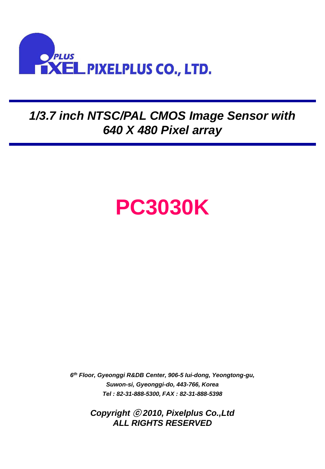

## *1/3.7 inch NTSC/PAL CMOS Image Sensor with 640 X 480 Pixel array*

# **PC3030K**

*6 th Floor, Gyeonggi R&DB Center, 906-5 Iui-dong, Yeongtong-gu, Suwon-si, Gyeonggi-do, 443-766, Korea Tel : 82-31-888-5300, FAX : 82-31-888-5398*

> *Copyright* ⓒ *2010, Pixelplus Co.,Ltd ALL RIGHTS RESERVED*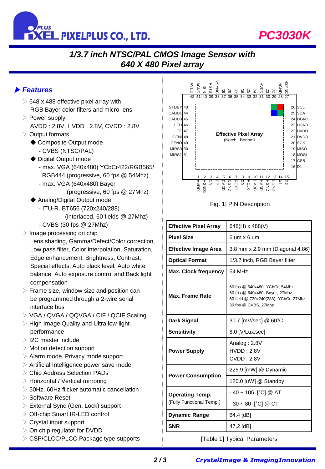

# *PC3030K*

## *1/3.7 inch NTSC/PAL CMOS Image Sensor with 640 X 480 Pixel array*

#### ▶ *Features*

- $\triangleright$  648 x 488 effective pixel array with RGB Bayer color filters and micro-lens
- ▷ Power supply AVDD : 2.8V, HVDD : 2.8V, CVDD : 2.8V
- ▷ Output formats
	- ◆ Composite Output mode
		- CVBS (NTSC/PAL)
	- ◆ Digital Output mode
		- max. VGA (640x480) YCbCr422/RGB565/ RGB444 (progressive, 60 fps @ 54Mhz)
		- max. VGA (640x480) Bayer
			- (progressive, 60 fps @ 27Mhz)
	- ◆ Analog/Digital Output mode
		- ITU-R. BT656 (720x240/288) (interlaced, 60 fields @ 27Mhz)
		- CVBS (30 fps @ 27Mhz)
- $\triangleright$  Image processing on chip
	- Lens shading, Gamma/Defect/Color correction, Low pass filter, Color interpolation, Saturation, Edge enhancement, Brightness, Contrast, Special effects, Auto black level, Auto white balance, Auto exposure control and Back light compensation
- $\triangleright$  Frame size, window size and position can be programmed through a 2-wire serial interface bus
- ▷ VGA / QVGA / QQVGA / CIF / QCIF Scaling
- $\triangleright$  High Image Quality and Ultra low light performance
- ▷ I2C master include
- $\triangleright$  Motion detection support
- $\triangleright$  Alarm mode, Privacy mode support
- $\triangleright$  Artificial Intelligence power save mode
- ▷ Chip Address Selection PADs
- $\triangleright$  Horizontal / Vertical mirroring
- $\triangleright$  50Hz, 60Hz flicker automatic cancellation
- ▷ Software Reset
- ▷ External Sync (Gen. Lock) support
- ▷ Off-chip Smart IR-LED control
- $\triangleright$  Crystal input support
- ▷ On chip regulator for DVDD
- ▷ CSP/CLCC/PLCC Package type supports



|                                                                                                                                                                                                                                                                                                                                                                                                                                           | $\begin{array}{cccc}\n & Q & Q & Q & Q & Q \\ \hline\n37 & 36 & 35 & 34 & 33 & 32\n\end{array}$                                                                    |
|-------------------------------------------------------------------------------------------------------------------------------------------------------------------------------------------------------------------------------------------------------------------------------------------------------------------------------------------------------------------------------------------------------------------------------------------|--------------------------------------------------------------------------------------------------------------------------------------------------------------------|
| STDBY <sub>43</sub><br>CADD144<br>CADD <sub>0</sub> 45<br>LED <sub>46</sub><br><b>TE 47</b><br>GENI <sup>48</sup><br>GENO <sub>49</sub><br><b>MIRS0 50</b><br><b>MIRS1</b> 51                                                                                                                                                                                                                                                             | 26 SCL<br>25 SDA<br>24 DGND<br>23 HGND<br>22 HVDD<br><b>Effective Pixel Array</b><br>21 DVDD<br>(Notch: Bottom)<br>20 SCK<br>19 MISO<br>18 MOSI<br>17 CSB<br>16 D1 |
| $\begin{array}{cccccccccccc} 1 & 2 & 3 & 4 & 5 & 6 & 7 & 8 & 9 & 10 & 11 & 12 & 13 & 14 & 15 \\ \hline \texttt{2} & \texttt{3} & \texttt{2} & \texttt{3} & \texttt{2} & \texttt{3} & \texttt{3} & \texttt{4} & \texttt{5} & \texttt{5} & \texttt{6} & \texttt{7} & \texttt{8} & \texttt{8} \\ \hline \texttt{3} & \texttt{4} & \texttt{5} & \texttt{5} & \texttt{6} & \texttt{7} & \texttt{7} & \texttt{8} &$<br>[Fig. 1] PIN Description |                                                                                                                                                                    |
| <b>Effective Pixel Array</b>                                                                                                                                                                                                                                                                                                                                                                                                              | 648(H) x 488(V)                                                                                                                                                    |
| <b>Pixel Size</b>                                                                                                                                                                                                                                                                                                                                                                                                                         | 6 um x 6 um                                                                                                                                                        |
| <b>Effective Image Area</b>                                                                                                                                                                                                                                                                                                                                                                                                               | 3.8 mm x 2.9 mm (Diagonal 4.86)                                                                                                                                    |
| <b>Optical Format</b>                                                                                                                                                                                                                                                                                                                                                                                                                     | 1/3.7 inch, RGB Bayer filter                                                                                                                                       |
| <b>Max. Clock frequency</b>                                                                                                                                                                                                                                                                                                                                                                                                               | 54 MHz                                                                                                                                                             |
| <b>Max. Frame Rate</b>                                                                                                                                                                                                                                                                                                                                                                                                                    | 60 fps @ 640x480, YCbCr, 54Mhz<br>60 fps @ 640x480, Bayer, 27Mhz<br>60 field @ 720x240(288), YCbCr, 27Mhz<br>30 fps @ CVBS, 27Mhz                                  |
| <b>Dark Signal</b>                                                                                                                                                                                                                                                                                                                                                                                                                        | 30.7 [mV/sec] @ 60°C                                                                                                                                               |
| <b>Sensitivity</b>                                                                                                                                                                                                                                                                                                                                                                                                                        | 8.0 [V/Lux.sec]                                                                                                                                                    |
| <b>Power Supply</b>                                                                                                                                                                                                                                                                                                                                                                                                                       | Analog: 2.8V<br><b>HVDD: 2.8V</b><br><b>CVDD: 2.8V</b>                                                                                                             |
| <b>Power Consumption</b>                                                                                                                                                                                                                                                                                                                                                                                                                  | 225.9 [mW] @ Dynamic                                                                                                                                               |
|                                                                                                                                                                                                                                                                                                                                                                                                                                           | 120.0 [uW] @ Standby                                                                                                                                               |
| <b>Operating Temp.</b><br>(Fully Functional Temp.)                                                                                                                                                                                                                                                                                                                                                                                        | - 40 ~ 105 [°C] @ AT                                                                                                                                               |
|                                                                                                                                                                                                                                                                                                                                                                                                                                           | $-30 - 80$ [°C] @ CT                                                                                                                                               |
| <b>Dynamic Range</b>                                                                                                                                                                                                                                                                                                                                                                                                                      | 64.4 [dB]                                                                                                                                                          |
| <b>SNR</b>                                                                                                                                                                                                                                                                                                                                                                                                                                | 47.2 [dB]                                                                                                                                                          |
| [Table 1] Typical Parameters                                                                                                                                                                                                                                                                                                                                                                                                              |                                                                                                                                                                    |